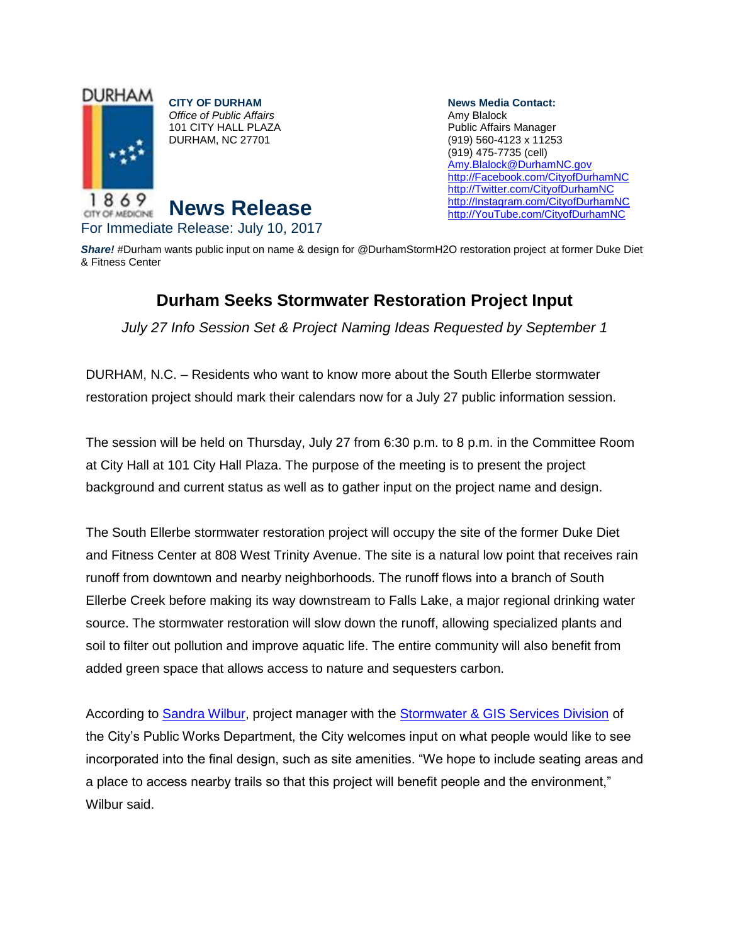

**News Media Contact:** Amy Blalock Public Affairs Manager (919) 560-4123 x 11253 (919) 475-7735 (cell) [Amy.Blalock@DurhamNC.gov](mailto:Amy.Blalock@DurhamNC.gov) [http://Facebook.com/CityofDurhamNC](http://facebook.com/CityofDurhamNC) [http://Twitter.com/CityofDurhamNC](http://twitter.com/CityofDurhamNC) [http://Instagram.com/CityofDurhamNC](http://instagram.com/CityofDurhamNC) [http://YouTube.com/CityofDurhamNC](http://youtube.com/CityofDurhamNC)

*Share!* #Durham wants public input on name & design for @DurhamStormH2O restoration project at former Duke Diet & Fitness Center

## **Durham Seeks Stormwater Restoration Project Input**

*July 27 Info Session Set & Project Naming Ideas Requested by September 1*

DURHAM, N.C. – Residents who want to know more about the South Ellerbe stormwater restoration project should mark their calendars now for a July 27 public information session.

The session will be held on Thursday, July 27 from 6:30 p.m. to 8 p.m. in the Committee Room at City Hall at 101 City Hall Plaza. The purpose of the meeting is to present the project background and current status as well as to gather input on the project name and design.

The South Ellerbe stormwater restoration project will occupy the site of the former Duke Diet and Fitness Center at 808 West Trinity Avenue. The site is a natural low point that receives rain runoff from downtown and nearby neighborhoods. The runoff flows into a branch of South Ellerbe Creek before making its way downstream to Falls Lake, a major regional drinking water source. The stormwater restoration will slow down the runoff, allowing specialized plants and soil to filter out pollution and improve aquatic life. The entire community will also benefit from added green space that allows access to nature and sequesters carbon.

According to [Sandra Wilbur,](mailto:Sandra.Wilbur@DurhamNC.gov) project manager with the [Stormwater & GIS Services Division](http://durhamnc.gov/692/Stormwater-GIS-Services) of the City's Public Works Department, the City welcomes input on what people would like to see incorporated into the final design, such as site amenities. "We hope to include seating areas and a place to access nearby trails so that this project will benefit people and the environment," Wilbur said.